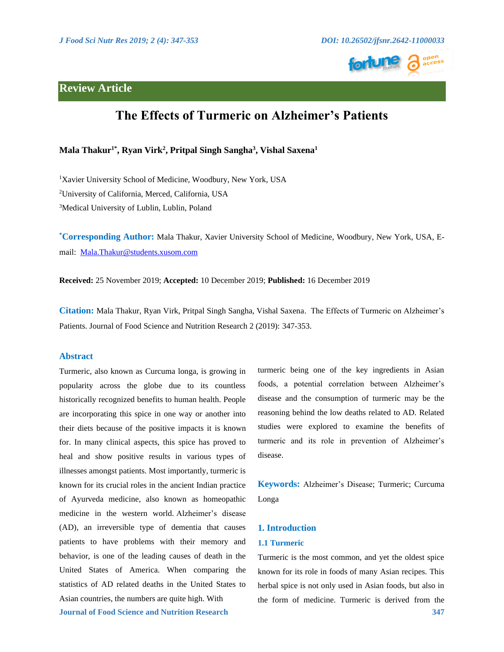

# **Review Article**



# **The Effects of Turmeric on Alzheimer's Patients**

**Mala Thakur1\* , Ryan Virk<sup>2</sup> , Pritpal Singh Sangha<sup>3</sup> , Vishal Saxena<sup>1</sup>**

<sup>1</sup>Xavier University School of Medicine, Woodbury, New York, USA <sup>2</sup>University of California, Merced, California, USA <sup>3</sup>Medical University of Lublin, Lublin, Poland

**\*Corresponding Author:** Mala Thakur, Xavier University School of Medicine, Woodbury, New York, USA, Email: [Mala.Thakur@students.xusom.com](mailto:Mala.Thakur@students.xusom.com)

**Received:** 25 November 2019; **Accepted:** 10 December 2019; **Published:** 16 December 2019

**Citation:** Mala Thakur, Ryan Virk, Pritpal Singh Sangha, Vishal Saxena. The Effects of Turmeric on Alzheimer's Patients. Journal of Food Science and Nutrition Research 2 (2019): 347-353.

### **Abstract**

**Journal of Food Science and Nutrition Research 347** Turmeric, also known as Curcuma longa, is growing in popularity across the globe due to its countless historically recognized benefits to human health. People are incorporating this spice in one way or another into their diets because of the positive impacts it is known for. In many clinical aspects, this spice has proved to heal and show positive results in various types of illnesses amongst patients. Most importantly, turmeric is known for its crucial roles in the ancient Indian practice of Ayurveda medicine, also known as homeopathic medicine in the western world. Alzheimer's disease (AD), an irreversible type of dementia that causes patients to have problems with their memory and behavior, is one of the leading causes of death in the United States of America. When comparing the statistics of AD related deaths in the United States to Asian countries, the numbers are quite high. With

turmeric being one of the key ingredients in Asian foods, a potential correlation between Alzheimer's disease and the consumption of turmeric may be the reasoning behind the low deaths related to AD. Related studies were explored to examine the benefits of turmeric and its role in prevention of Alzheimer's disease.

**Keywords:** Alzheimer's Disease; Turmeric; Curcuma Longa

# **1. Introduction**

# **1.1 Turmeric**

Turmeric is the most common, and yet the oldest spice known for its role in foods of many Asian recipes. This herbal spice is not only used in Asian foods, but also in the form of medicine. Turmeric is derived from the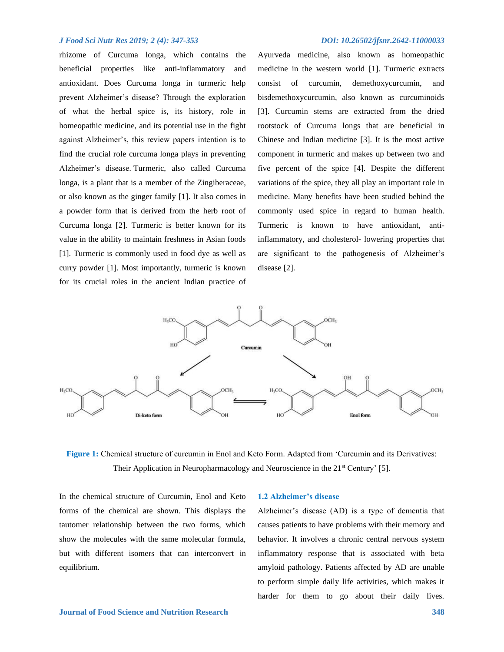rhizome of Curcuma longa, which contains the beneficial properties like anti-inflammatory and antioxidant. Does Curcuma longa in turmeric help prevent Alzheimer's disease? Through the exploration of what the herbal spice is, its history, role in homeopathic medicine, and its potential use in the fight against Alzheimer's, this review papers intention is to find the crucial role curcuma longa plays in preventing Alzheimer's disease. Turmeric, also called Curcuma longa, is a plant that is a member of the Zingiberaceae, or also known as the ginger family [1]. It also comes in a powder form that is derived from the herb root of Curcuma longa [2]. Turmeric is better known for its value in the ability to maintain freshness in Asian foods [1]. Turmeric is commonly used in food dye as well as curry powder [1]. Most importantly, turmeric is known for its crucial roles in the ancient Indian practice of

Ayurveda medicine, also known as homeopathic medicine in the western world [1]. Turmeric extracts consist of curcumin, demethoxycurcumin, and bisdemethoxycurcumin, also known as curcuminoids [3]. Curcumin stems are extracted from the dried rootstock of Curcuma longs that are beneficial in Chinese and Indian medicine [3]. It is the most active component in turmeric and makes up between two and five percent of the spice [4]. Despite the different variations of the spice, they all play an important role in medicine. Many benefits have been studied behind the commonly used spice in regard to human health. Turmeric is known to have antioxidant, antiinflammatory, and cholesterol- lowering properties that are significant to the pathogenesis of Alzheimer's disease [2].



**Figure 1:** Chemical structure of curcumin in Enol and Keto Form. Adapted from 'Curcumin and its Derivatives: Their Application in Neuropharmacology and Neuroscience in the 21<sup>st</sup> Century' [5].

In the chemical structure of Curcumin, Enol and Keto forms of the chemical are shown. This displays the tautomer relationship between the two forms, which show the molecules with the same molecular formula, but with different isomers that can interconvert in equilibrium.

### **1.2 Alzheimer's disease**

Alzheimer's disease (AD) is a type of dementia that causes patients to have problems with their memory and behavior. It involves a chronic central nervous system inflammatory response that is associated with beta amyloid pathology. Patients affected by AD are unable to perform simple daily life activities, which makes it harder for them to go about their daily lives.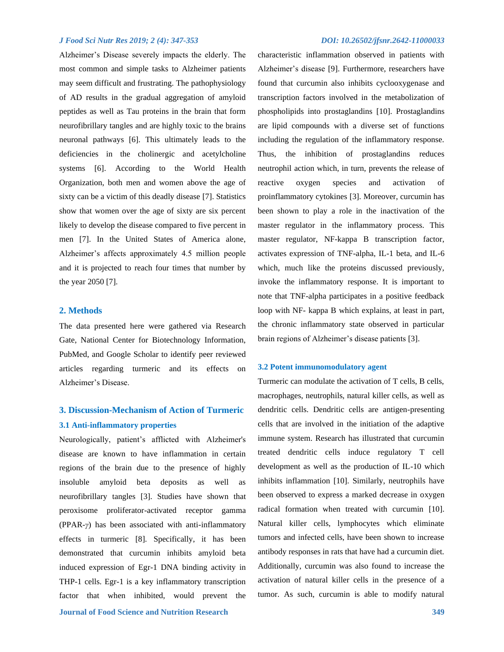Alzheimer's Disease severely impacts the elderly. The most common and simple tasks to Alzheimer patients may seem difficult and frustrating. The pathophysiology of AD results in the gradual aggregation of amyloid peptides as well as Tau proteins in the brain that form neurofibrillary tangles and are highly toxic to the brains neuronal pathways [6]. This ultimately leads to the deficiencies in the cholinergic and acetylcholine systems [6]. According to the World Health Organization, both men and women above the age of sixty can be a victim of this deadly disease [7]. Statistics show that women over the age of sixty are six percent likely to develop the disease compared to five percent in men [7]. In the United States of America alone, Alzheimer's affects approximately 4.5 million people and it is projected to reach four times that number by the year 2050 [7].

### **2. Methods**

The data presented here were gathered via Research Gate, National Center for Biotechnology Information, PubMed, and Google Scholar to identify peer reviewed articles regarding turmeric and its effects on Alzheimer's Disease.

# **3. Discussion-Mechanism of Action of Turmeric 3.1 Anti-inflammatory properties**

Neurologically, patient's afflicted with Alzheimer's disease are known to have inflammation in certain regions of the brain due to the presence of highly insoluble amyloid beta deposits as well as neurofibrillary tangles [3]. Studies have shown that peroxisome proliferator-activated receptor gamma (PPAR-*γ*) has been associated with anti-inflammatory effects in turmeric [8]. Specifically, it has been demonstrated that curcumin inhibits amyloid beta induced expression of Egr-1 DNA binding activity in THP-1 cells. Egr-1 is a key inflammatory transcription factor that when inhibited, would prevent the

characteristic inflammation observed in patients with Alzheimer's disease [9]. Furthermore, researchers have found that curcumin also inhibits cyclooxygenase and transcription factors involved in the metabolization of phospholipids into prostaglandins [10]. Prostaglandins are lipid compounds with a diverse set of functions including the regulation of the inflammatory response. Thus, the inhibition of prostaglandins reduces neutrophil action which, in turn, prevents the release of reactive oxygen species and activation of proinflammatory cytokines [3]. Moreover, curcumin has been shown to play a role in the inactivation of the master regulator in the inflammatory process. This master regulator, NF-kappa B transcription factor, activates expression of TNF-alpha, IL-1 beta, and IL-6 which, much like the proteins discussed previously, invoke the inflammatory response. It is important to note that TNF-alpha participates in a positive feedback loop with NF- kappa B which explains, at least in part, the chronic inflammatory state observed in particular brain regions of Alzheimer's disease patients [3].

### **3.2 Potent immunomodulatory agent**

Turmeric can modulate the activation of T cells, B cells, macrophages, neutrophils, natural killer cells, as well as dendritic cells. Dendritic cells are antigen-presenting cells that are involved in the initiation of the adaptive immune system. Research has illustrated that curcumin treated dendritic cells induce regulatory T cell development as well as the production of IL-10 which inhibits inflammation [10]. Similarly, neutrophils have been observed to express a marked decrease in oxygen radical formation when treated with curcumin [10]. Natural killer cells, lymphocytes which eliminate tumors and infected cells, have been shown to increase antibody responses in rats that have had a curcumin diet. Additionally, curcumin was also found to increase the activation of natural killer cells in the presence of a tumor. As such, curcumin is able to modify natural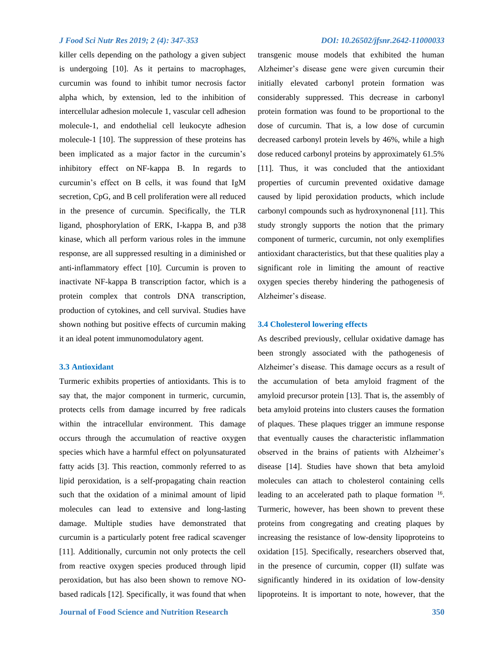killer cells depending on the pathology a given subject is undergoing [10]. As it pertains to macrophages, curcumin was found to inhibit tumor necrosis factor alpha which, by extension, led to the inhibition of intercellular adhesion molecule 1, vascular cell adhesion molecule-1, and endothelial cell leukocyte adhesion molecule-1 [10]. The suppression of these proteins has been implicated as a major factor in the curcumin's inhibitory effect on NF-kappa B. In regards to curcumin's effect on B cells, it was found that IgM secretion, CpG, and B cell proliferation were all reduced in the presence of curcumin. Specifically, the TLR ligand, phosphorylation of ERK, I-kappa B, and p38 kinase, which all perform various roles in the immune response, are all suppressed resulting in a diminished or anti-inflammatory effect [10]. Curcumin is proven to inactivate NF-kappa B transcription factor, which is a protein complex that controls DNA transcription, production of cytokines, and cell survival. Studies have shown nothing but positive effects of curcumin making it an ideal potent immunomodulatory agent.

# **3.3 Antioxidant**

Turmeric exhibits properties of antioxidants. This is to say that, the major component in turmeric, curcumin, protects cells from damage incurred by free radicals within the intracellular environment. This damage occurs through the accumulation of reactive oxygen species which have a harmful effect on polyunsaturated fatty acids [3]. This reaction, commonly referred to as lipid peroxidation, is a self-propagating chain reaction such that the oxidation of a minimal amount of lipid molecules can lead to extensive and long-lasting damage. Multiple studies have demonstrated that curcumin is a particularly potent free radical scavenger [11]. Additionally, curcumin not only protects the cell from reactive oxygen species produced through lipid peroxidation, but has also been shown to remove NObased radicals [12]. Specifically, it was found that when

transgenic mouse models that exhibited the human Alzheimer's disease gene were given curcumin their initially elevated carbonyl protein formation was considerably suppressed. This decrease in carbonyl protein formation was found to be proportional to the dose of curcumin. That is, a low dose of curcumin decreased carbonyl protein levels by 46%, while a high dose reduced carbonyl proteins by approximately 61.5% [11]. Thus, it was concluded that the antioxidant properties of curcumin prevented oxidative damage caused by lipid peroxidation products, which include carbonyl compounds such as hydroxynonenal [11]. This study strongly supports the notion that the primary component of turmeric, curcumin, not only exemplifies antioxidant characteristics, but that these qualities play a significant role in limiting the amount of reactive oxygen species thereby hindering the pathogenesis of Alzheimer's disease.

### **3.4 Cholesterol lowering effects**

As described previously, cellular oxidative damage has been strongly associated with the pathogenesis of Alzheimer's disease. This damage occurs as a result of the accumulation of beta amyloid fragment of the amyloid precursor protein [13]. That is, the assembly of beta amyloid proteins into clusters causes the formation of plaques. These plaques trigger an immune response that eventually causes the characteristic inflammation observed in the brains of patients with Alzheimer's disease [14]. Studies have shown that beta amyloid molecules can attach to cholesterol containing cells leading to an accelerated path to plaque formation <sup>16</sup>. Turmeric, however, has been shown to prevent these proteins from congregating and creating plaques by increasing the resistance of low-density lipoproteins to oxidation [15]. Specifically, researchers observed that, in the presence of curcumin, copper (II) sulfate was significantly hindered in its oxidation of low-density lipoproteins. It is important to note, however, that the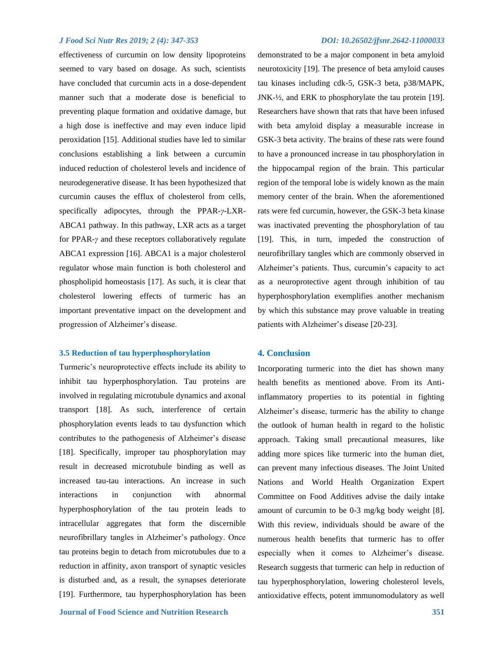effectiveness of curcumin on low density lipoproteins seemed to vary based on dosage. As such, scientists have concluded that curcumin acts in a dose-dependent manner such that a moderate dose is beneficial to preventing plaque formation and oxidative damage, but a high dose is ineffective and may even induce lipid peroxidation [15]. Additional studies have led to similar conclusions establishing a link between a curcumin induced reduction of cholesterol levels and incidence of neurodegenerative disease. It has been hypothesized that curcumin causes the efflux of cholesterol from cells, specifically adipocytes, through the PPAR-*γ*-LXR-ABCA1 pathway. In this pathway, LXR acts as a target for PPAR-*γ* and these receptors collaboratively regulate ABCA1 expression [16]. ABCA1 is a major cholesterol regulator whose main function is both cholesterol and phospholipid homeostasis [17]. As such, it is clear that cholesterol lowering effects of turmeric has an important preventative impact on the development and progression of Alzheimer's disease.

# **3.5 Reduction of tau hyperphosphorylation**

Turmeric's neuroprotective effects include its ability to inhibit tau hyperphosphorylation. Tau proteins are involved in regulating microtubule dynamics and axonal transport [18]. As such, interference of certain phosphorylation events leads to tau dysfunction which contributes to the pathogenesis of Alzheimer's disease [18]. Specifically, improper tau phosphorylation may result in decreased microtubule binding as well as increased tau-tau interactions. An increase in such interactions in conjunction with abnormal hyperphosphorylation of the tau protein leads to intracellular aggregates that form the discernible neurofibrillary tangles in Alzheimer's pathology. Once tau proteins begin to detach from microtubules due to a reduction in affinity, axon transport of synaptic vesicles is disturbed and, as a result, the synapses deteriorate [19]. Furthermore, tau hyperphosphorylation has been

demonstrated to be a major component in beta amyloid neurotoxicity [19]. The presence of beta amyloid causes tau kinases including cdk-5, GSK-3 beta, p38/MAPK, JNK-½, and ERK to phosphorylate the tau protein [19]. Researchers have shown that rats that have been infused with beta amyloid display a measurable increase in GSK-3 beta activity. The brains of these rats were found to have a pronounced increase in tau phosphorylation in the hippocampal region of the brain. This particular region of the temporal lobe is widely known as the main memory center of the brain. When the aforementioned rats were fed curcumin, however, the GSK-3 beta kinase was inactivated preventing the phosphorylation of tau [19]. This, in turn, impeded the construction of neurofibrillary tangles which are commonly observed in Alzheimer's patients. Thus, curcumin's capacity to act as a neuroprotective agent through inhibition of tau hyperphosphorylation exemplifies another mechanism by which this substance may prove valuable in treating patients with Alzheimer's disease [20-23].

## **4. Conclusion**

Incorporating turmeric into the diet has shown many health benefits as mentioned above. From its Antiinflammatory properties to its potential in fighting Alzheimer's disease, turmeric has the ability to change the outlook of human health in regard to the holistic approach. Taking small precautional measures, like adding more spices like turmeric into the human diet, can prevent many infectious diseases. The Joint United Nations and World Health Organization Expert Committee on Food Additives advise the daily intake amount of curcumin to be 0-3 mg/kg body weight [8]. With this review, individuals should be aware of the numerous health benefits that turmeric has to offer especially when it comes to Alzheimer's disease. Research suggests that turmeric can help in reduction of tau hyperphosphorylation, lowering cholesterol levels, antioxidative effects, potent immunomodulatory as well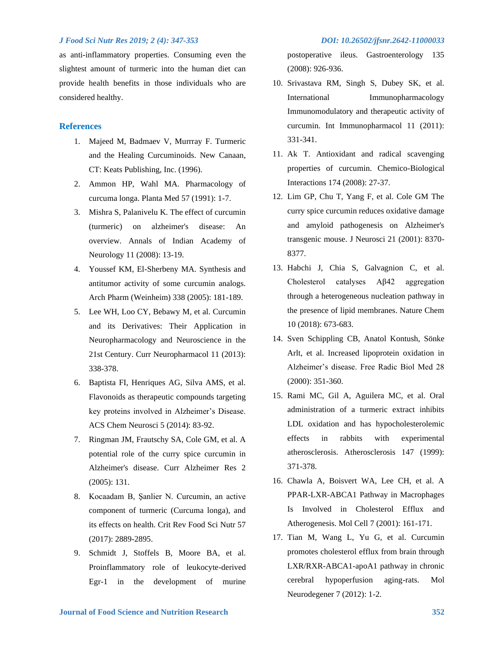as anti-inflammatory properties. Consuming even the slightest amount of turmeric into the human diet can provide health benefits in those individuals who are considered healthy.

# **References**

- 1. Majeed M, Badmaev V, Murrray F. Turmeric and the Healing Curcuminoids. New Canaan, CT: Keats Publishing, Inc. (1996).
- 2. Ammon HP, Wahl MA. Pharmacology of curcuma longa. Planta Med 57 (1991): 1-7.
- 3. Mishra S, Palanivelu K. The effect of curcumin (turmeric) on alzheimer's disease: An overview. Annals of Indian Academy of Neurology 11 (2008): 13-19.
- 4. Youssef KM, El-Sherbeny MA. Synthesis and antitumor activity of some curcumin analogs. Arch Pharm (Weinheim) 338 (2005): 181-189.
- 5. Lee WH, Loo CY, Bebawy M, et al. Curcumin and its Derivatives: Their Application in Neuropharmacology and Neuroscience in the 21st Century. Curr Neuropharmacol 11 (2013): 338-378.
- 6. Baptista FI, Henriques AG, Silva AMS, et al. Flavonoids as therapeutic compounds targeting key proteins involved in Alzheimer's Disease. ACS Chem Neurosci 5 (2014): 83-92.
- 7. Ringman JM, Frautschy SA, Cole GM, et al. A potential role of the curry spice curcumin in Alzheimer's disease. Curr Alzheimer Res 2 (2005): 131.
- 8. Kocaadam B, Şanlier N. Curcumin, an active component of turmeric (Curcuma longa), and its effects on health. Crit Rev Food Sci Nutr 57 (2017): 2889-2895.
- 9. Schmidt J, Stoffels B, Moore BA, et al. Proinflammatory role of leukocyte-derived Egr-1 in the development of murine

postoperative ileus. Gastroenterology 135 (2008): 926-936.

- 10. Srivastava RM, Singh S, Dubey SK, et al. International Immunopharmacology Immunomodulatory and therapeutic activity of curcumin. Int Immunopharmacol 11 (2011): 331-341.
- 11. Ak T. Antioxidant and radical scavenging properties of curcumin. Chemico-Biological Interactions 174 (2008): 27-37.
- 12. Lim GP, Chu T, Yang F, et al. Cole GM The curry spice curcumin reduces oxidative damage and amyloid pathogenesis on Alzheimer's transgenic mouse. J Neurosci 21 (2001): 8370- 8377.
- 13. Habchi J, Chia S, Galvagnion C, et al. Cholesterol catalyses Aβ42 aggregation through a heterogeneous nucleation pathway in the presence of lipid membranes. Nature Chem 10 (2018): 673-683.
- 14. Sven Schippling CB, Anatol Kontush, Sönke Arlt, et al. Increased lipoprotein oxidation in Alzheimer's disease. Free Radic Biol Med 28 (2000): 351-360.
- 15. Rami MC, Gil A, Aguilera MC, et al. Oral administration of a turmeric extract inhibits LDL oxidation and has hypocholesterolemic effects in rabbits with experimental atherosclerosis. Atherosclerosis 147 (1999): 371-378.
- 16. Chawla A, Boisvert WA, Lee CH, et al. A PPAR-LXR-ABCA1 Pathway in Macrophages Is Involved in Cholesterol Efflux and Atherogenesis. Mol Cell 7 (2001): 161-171.
- 17. Tian M, Wang L, Yu G, et al. Curcumin promotes cholesterol efflux from brain through LXR/RXR-ABCA1-apoA1 pathway in chronic cerebral hypoperfusion aging-rats. Mol Neurodegener 7 (2012): 1-2.